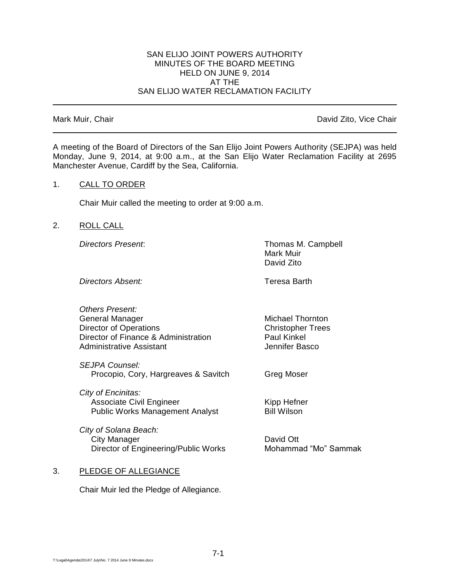### SAN ELIJO JOINT POWERS AUTHORITY MINUTES OF THE BOARD MEETING HELD ON JUNE 9, 2014 AT THE SAN ELIJO WATER RECLAMATION FACILITY

Mark Muir, Chair **David Zito, Vice Chair** David Zito, Vice Chair

A meeting of the Board of Directors of the San Elijo Joint Powers Authority (SEJPA) was held Monday, June 9, 2014, at 9:00 a.m., at the San Elijo Water Reclamation Facility at 2695 Manchester Avenue, Cardiff by the Sea, California.

### 1. CALL TO ORDER

Chair Muir called the meeting to order at 9:00 a.m.

2. ROLL CALL

*Directors Present*: Thomas M. Campbell Mark Muir David Zito

**Directors Absent:** Teresa Barth

| <b>Others Present:</b>               |                          |
|--------------------------------------|--------------------------|
| General Manager                      | Michael Thornton         |
| Director of Operations               | <b>Christopher Trees</b> |
| Director of Finance & Administration | <b>Paul Kinkel</b>       |
| Administrative Assistant             | Jennifer Basco           |
|                                      |                          |

*SEJPA Counsel:* Procopio, Cory, Hargreaves & Savitch Greg Moser

*City of Encinitas:* Associate Civil Engineer Kipp Hefner Public Works Management Analyst Bill Wilson

*City of Solana Beach:* City Manager **David Ott** Director of Engineering/Public Works Mohammad "Mo" Sammak

# 3. PLEDGE OF ALLEGIANCE

Chair Muir led the Pledge of Allegiance.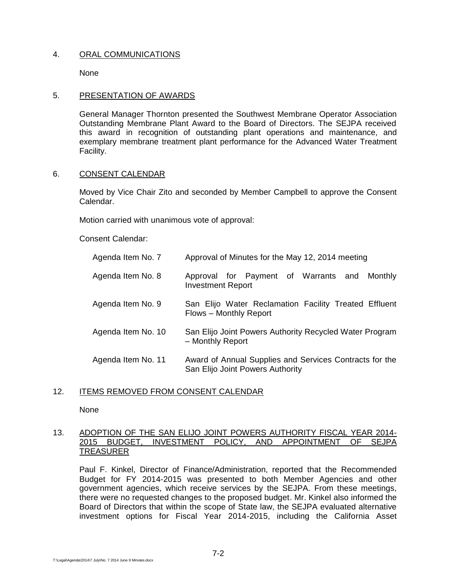# 4. ORAL COMMUNICATIONS

None

# 5. PRESENTATION OF AWARDS

General Manager Thornton presented the Southwest Membrane Operator Association Outstanding Membrane Plant Award to the Board of Directors. The SEJPA received this award in recognition of outstanding plant operations and maintenance, and exemplary membrane treatment plant performance for the Advanced Water Treatment Facility.

# 6. CONSENT CALENDAR

Moved by Vice Chair Zito and seconded by Member Campbell to approve the Consent Calendar.

Motion carried with unanimous vote of approval:

Consent Calendar:

| Agenda Item No. 7  | Approval of Minutes for the May 12, 2014 meeting                                            |
|--------------------|---------------------------------------------------------------------------------------------|
| Agenda Item No. 8  | Approval for Payment of Warrants and<br>Monthly<br><b>Investment Report</b>                 |
| Agenda Item No. 9  | San Elijo Water Reclamation Facility Treated Effluent<br>Flows - Monthly Report             |
| Agenda Item No. 10 | San Elijo Joint Powers Authority Recycled Water Program<br>- Monthly Report                 |
| Agenda Item No. 11 | Award of Annual Supplies and Services Contracts for the<br>San Elijo Joint Powers Authority |

# 12. ITEMS REMOVED FROM CONSENT CALENDAR

None

# 13. ADOPTION OF THE SAN ELIJO JOINT POWERS AUTHORITY FISCAL YEAR 2014- 2015 BUDGET, INVESTMENT POLICY, AND APPOINTMENT OF SEJPA TREASURER

Paul F. Kinkel, Director of Finance/Administration, reported that the Recommended Budget for FY 2014-2015 was presented to both Member Agencies and other government agencies, which receive services by the SEJPA. From these meetings, there were no requested changes to the proposed budget. Mr. Kinkel also informed the Board of Directors that within the scope of State law, the SEJPA evaluated alternative investment options for Fiscal Year 2014-2015, including the California Asset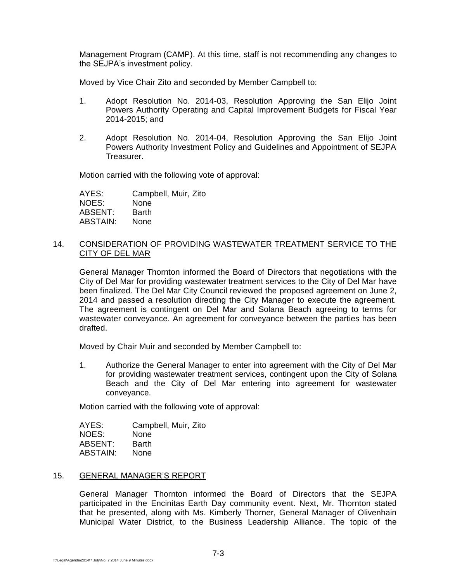Management Program (CAMP). At this time, staff is not recommending any changes to the SEJPA's investment policy.

Moved by Vice Chair Zito and seconded by Member Campbell to:

- 1. Adopt Resolution No. 2014-03, Resolution Approving the San Elijo Joint Powers Authority Operating and Capital Improvement Budgets for Fiscal Year 2014-2015; and
- 2. Adopt Resolution No. 2014-04, Resolution Approving the San Elijo Joint Powers Authority Investment Policy and Guidelines and Appointment of SEJPA Treasurer.

Motion carried with the following vote of approval:

AYES: Campbell, Muir, Zito NOES: None ABSENT: Barth ABSTAIN: None

### 14. CONSIDERATION OF PROVIDING WASTEWATER TREATMENT SERVICE TO THE CITY OF DEL MAR

General Manager Thornton informed the Board of Directors that negotiations with the City of Del Mar for providing wastewater treatment services to the City of Del Mar have been finalized. The Del Mar City Council reviewed the proposed agreement on June 2, 2014 and passed a resolution directing the City Manager to execute the agreement. The agreement is contingent on Del Mar and Solana Beach agreeing to terms for wastewater conveyance. An agreement for conveyance between the parties has been drafted.

Moved by Chair Muir and seconded by Member Campbell to:

1. Authorize the General Manager to enter into agreement with the City of Del Mar for providing wastewater treatment services, contingent upon the City of Solana Beach and the City of Del Mar entering into agreement for wastewater conveyance.

Motion carried with the following vote of approval:

| AYES:    | Campbell, Muir, Zito |
|----------|----------------------|
| NOES:    | None                 |
| ABSENT:  | <b>Barth</b>         |
| ABSTAIN: | None                 |

### 15. GENERAL MANAGER'S REPORT

General Manager Thornton informed the Board of Directors that the SEJPA participated in the Encinitas Earth Day community event. Next, Mr. Thornton stated that he presented, along with Ms. Kimberly Thorner, General Manager of Olivenhain Municipal Water District, to the Business Leadership Alliance. The topic of the